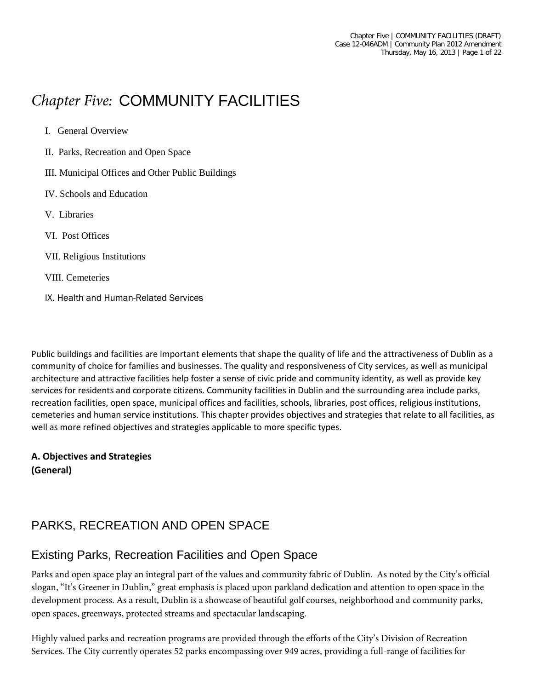# *Chapter Five:* COMMUNITY FACILITIES

- I. General Overview
- II. Parks, Recreation and Open Space
- III. Municipal Offices and Other Public Buildings
- IV. Schools and Education
- V. Libraries
- VI. Post Offices
- VII. Religious Institutions
- VIII. Cemeteries
- IX. Health and Human-Related Services

Public buildings and facilities are important elements that shape the quality of life and the attractiveness of Dublin as a community of choice for families and businesses. The quality and responsiveness of City services, as well as municipal architecture and attractive facilities help foster a sense of civic pride and community identity, as well as provide key services for residents and corporate citizens. Community facilities in Dublin and the surrounding area include parks, recreation facilities, open space, municipal offices and facilities, schools, libraries, post offices, religious institutions, cemeteries and human service institutions. This chapter provides objectives and strategies that relate to all facilities, as well as more refined objectives and strategies applicable to more specific types.

#### **A. Objectives and Strategies (General)**

# PARKS, RECREATION AND OPEN SPACE

#### Existing Parks, Recreation Facilities and Open Space

Parks and open space play an integral part of the values and community fabric of Dublin. As noted by the City's official slogan, "It's Greener in Dublin," great emphasis is placed upon parkland dedication and attention to open space in the development process. As a result, Dublin is a showcase of beautiful golf courses, neighborhood and community parks, open spaces, greenways, protected streams and spectacular landscaping.

Highly valued parks and recreation programs are provided through the efforts of the City's Division of Recreation Services. The City currently operates 52 parks encompassing over 949 acres, providing a full-range of facilities for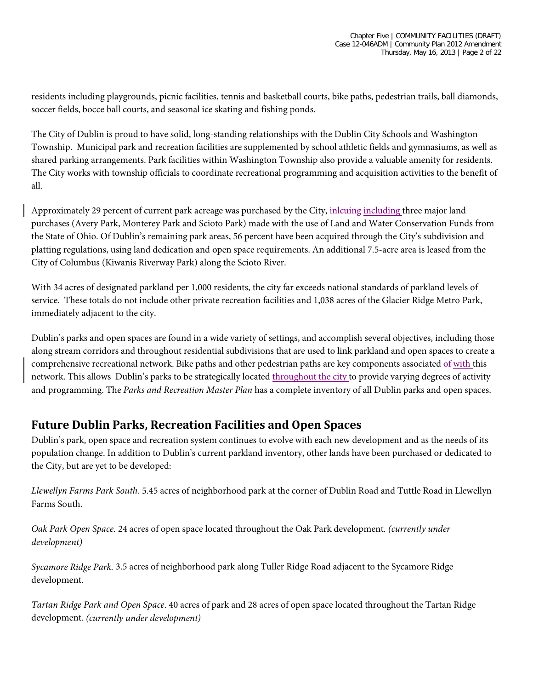residents including playgrounds, picnic facilities, tennis and basketball courts, bike paths, pedestrian trails, ball diamonds, soccer fields, bocce ball courts, and seasonal ice skating and fishing ponds.

The City of Dublin is proud to have solid, long-standing relationships with the Dublin City Schools and Washington Township. Municipal park and recreation facilities are supplemented by school athletic fields and gymnasiums, as well as shared parking arrangements. Park facilities within Washington Township also provide a valuable amenity for residents. The City works with township officials to coordinate recreational programming and acquisition activities to the benefit of all.

Approximately 29 percent of current park acreage was purchased by the City, inferting including three major land purchases (Avery Park, Monterey Park and Scioto Park) made with the use of Land and Water Conservation Funds from the State of Ohio. Of Dublin's remaining park areas, 56 percent have been acquired through the City's subdivision and platting regulations, using land dedication and open space requirements. An additional 7.5-acre area is leased from the City of Columbus (Kiwanis Riverway Park) along the Scioto River.

With 34 acres of designated parkland per 1,000 residents, the city far exceeds national standards of parkland levels of service. These totals do not include other private recreation facilities and 1,038 acres of the Glacier Ridge Metro Park, immediately adjacent to the city.

Dublin's parks and open spaces are found in a wide variety of settings, and accomplish several objectives, including those along stream corridors and throughout residential subdivisions that are used to link parkland and open spaces to create a comprehensive recreational network. Bike paths and other pedestrian paths are key components associated of with this network. This allows Dublin's parks to be strategically located throughout the city to provide varying degrees of activity and programming. The *Parks and Recreation Master Plan* has a complete inventory of all Dublin parks and open spaces.

#### **Future Dublin Parks, Recreation Facilities and Open Spaces**

Dublin's park, open space and recreation system continues to evolve with each new development and as the needs of its population change. In addition to Dublin's current parkland inventory, other lands have been purchased or dedicated to the City, but are yet to be developed:

*Llewellyn Farms Park South.* 5.45 acres of neighborhood park at the corner of Dublin Road and Tuttle Road in Llewellyn Farms South.

*Oak Park Open Space.* 24 acres of open space located throughout the Oak Park development. *(currently under development)*

*Sycamore Ridge Park.* 3.5 acres of neighborhood park along Tuller Ridge Road adjacent to the Sycamore Ridge development.

*Tartan Ridge Park and Open Space*. 40 acres of park and 28 acres of open space located throughout the Tartan Ridge development. *(currently under development)*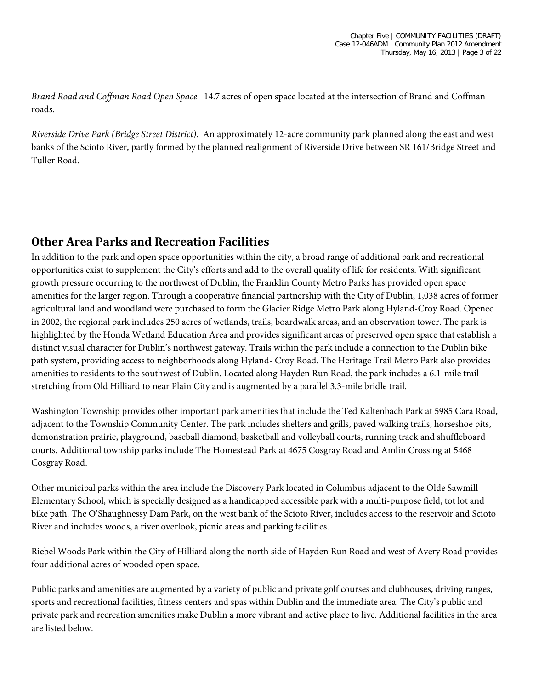*Brand Road and Coffman Road Open Space.* 14.7 acres of open space located at the intersection of Brand and Coffman roads.

*Riverside Drive Park (Bridge Street District)*. An approximately 12-acre community park planned along the east and west banks of the Scioto River, partly formed by the planned realignment of Riverside Drive between SR 161/Bridge Street and Tuller Road.

# **Other Area Parks and Recreation Facilities**

In addition to the park and open space opportunities within the city, a broad range of additional park and recreational opportunities exist to supplement the City's efforts and add to the overall quality of life for residents. With significant growth pressure occurring to the northwest of Dublin, the Franklin County Metro Parks has provided open space amenities for the larger region. Through a cooperative financial partnership with the City of Dublin, 1,038 acres of former agricultural land and woodland were purchased to form the Glacier Ridge Metro Park along Hyland-Croy Road. Opened in 2002, the regional park includes 250 acres of wetlands, trails, boardwalk areas, and an observation tower. The park is highlighted by the Honda Wetland Education Area and provides significant areas of preserved open space that establish a distinct visual character for Dublin's northwest gateway. Trails within the park include a connection to the Dublin bike path system, providing access to neighborhoods along Hyland- Croy Road. The Heritage Trail Metro Park also provides amenities to residents to the southwest of Dublin. Located along Hayden Run Road, the park includes a 6.1-mile trail stretching from Old Hilliard to near Plain City and is augmented by a parallel 3.3-mile bridle trail.

Washington Township provides other important park amenities that include the Ted Kaltenbach Park at 5985 Cara Road, adjacent to the Township Community Center. The park includes shelters and grills, paved walking trails, horseshoe pits, demonstration prairie, playground, baseball diamond, basketball and volleyball courts, running track and shuffleboard courts. Additional township parks include The Homestead Park at 4675 Cosgray Road and Amlin Crossing at 5468 Cosgray Road.

Other municipal parks within the area include the Discovery Park located in Columbus adjacent to the Olde Sawmill Elementary School, which is specially designed as a handicapped accessible park with a multi-purpose field, tot lot and bike path. The O'Shaughnessy Dam Park, on the west bank of the Scioto River, includes access to the reservoir and Scioto River and includes woods, a river overlook, picnic areas and parking facilities.

Riebel Woods Park within the City of Hilliard along the north side of Hayden Run Road and west of Avery Road provides four additional acres of wooded open space.

Public parks and amenities are augmented by a variety of public and private golf courses and clubhouses, driving ranges, sports and recreational facilities, fitness centers and spas within Dublin and the immediate area. The City's public and private park and recreation amenities make Dublin a more vibrant and active place to live. Additional facilities in the area are listed below.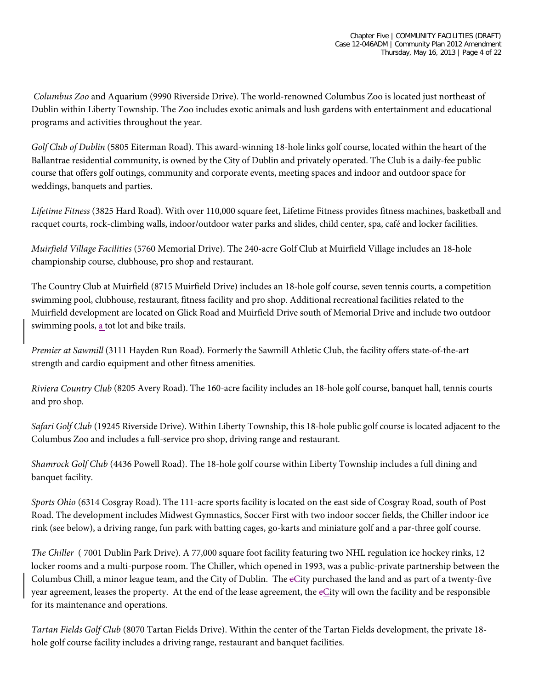*Columbus Zoo* and Aquarium (9990 Riverside Drive). The world-renowned Columbus Zoo is located just northeast of Dublin within Liberty Township. The Zoo includes exotic animals and lush gardens with entertainment and educational programs and activities throughout the year.

*Golf Club of Dublin* (5805 Eiterman Road). This award-winning 18-hole links golf course, located within the heart of the Ballantrae residential community, is owned by the City of Dublin and privately operated. The Club is a daily-fee public course that offers golf outings, community and corporate events, meeting spaces and indoor and outdoor space for weddings, banquets and parties.

*Lifetime Fitness* (3825 Hard Road). With over 110,000 square feet, Lifetime Fitness provides fitness machines, basketball and racquet courts, rock-climbing walls, indoor/outdoor water parks and slides, child center, spa, café and locker facilities.

*Muirfield Village Facilities* (5760 Memorial Drive). The 240-acre Golf Club at Muirfield Village includes an 18-hole championship course, clubhouse, pro shop and restaurant.

The Country Club at Muirfield (8715 Muirfield Drive) includes an 18-hole golf course, seven tennis courts, a competition swimming pool, clubhouse, restaurant, fitness facility and pro shop. Additional recreational facilities related to the Muirfield development are located on Glick Road and Muirfield Drive south of Memorial Drive and include two outdoor swimming pools, a tot lot and bike trails.

*Premier at Sawmill* (3111 Hayden Run Road). Formerly the Sawmill Athletic Club, the facility offers state-of-the-art strength and cardio equipment and other fitness amenities.

*Riviera Country Club* (8205 Avery Road). The 160-acre facility includes an 18-hole golf course, banquet hall, tennis courts and pro shop.

*Safari Golf Club* (19245 Riverside Drive). Within Liberty Township, this 18-hole public golf course is located adjacent to the Columbus Zoo and includes a full-service pro shop, driving range and restaurant.

*Shamrock Golf Club* (4436 Powell Road). The 18-hole golf course within Liberty Township includes a full dining and banquet facility.

*Sports Ohio* (6314 Cosgray Road). The 111-acre sports facility is located on the east side of Cosgray Road, south of Post Road. The development includes Midwest Gymnastics, Soccer First with two indoor soccer fields, the Chiller indoor ice rink (see below), a driving range, fun park with batting cages, go-karts and miniature golf and a par-three golf course.

*The Chiller* ( 7001 Dublin Park Drive). A 77,000 square foot facility featuring two NHL regulation ice hockey rinks, 12 locker rooms and a multi-purpose room. The Chiller, which opened in 1993, was a public-private partnership between the Columbus Chill, a minor league team, and the City of Dublin. The eCity purchased the land and as part of a twenty-five year agreement, leases the property. At the end of the lease agreement, the cCity will own the facility and be responsible for its maintenance and operations.

*Tartan Fields Golf Club* (8070 Tartan Fields Drive). Within the center of the Tartan Fields development, the private 18 hole golf course facility includes a driving range, restaurant and banquet facilities.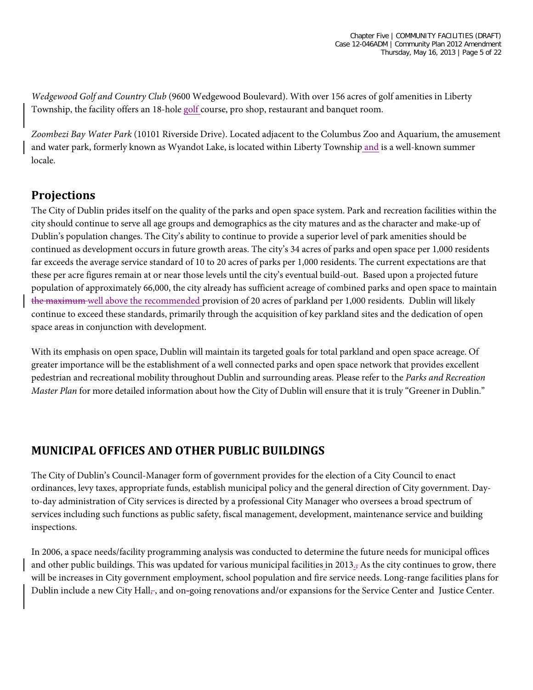*Wedgewood Golf and Country Club* (9600 Wedgewood Boulevard). With over 156 acres of golf amenities in Liberty Township, the facility offers an 18-hole golf course, pro shop, restaurant and banquet room.

*Zoombezi Bay Water Park* (10101 Riverside Drive). Located adjacent to the Columbus Zoo and Aquarium, the amusement and water park, formerly known as Wyandot Lake, is located within Liberty Township and is a well-known summer locale.

# **Projections**

The City of Dublin prides itself on the quality of the parks and open space system. Park and recreation facilities within the city should continue to serve all age groups and demographics as the city matures and as the character and make-up of Dublin's population changes. The City's ability to continue to provide a superior level of park amenities should be continued as development occurs in future growth areas. The city's 34 acres of parks and open space per 1,000 residents far exceeds the average service standard of 10 to 20 acres of parks per 1,000 residents. The current expectations are that these per acre figures remain at or near those levels until the city's eventual build-out. Based upon a projected future population of approximately 66,000, the city already has sufficient acreage of combined parks and open space to maintain the maximum well above the recommended provision of 20 acres of parkland per 1,000 residents. Dublin will likely continue to exceed these standards, primarily through the acquisition of key parkland sites and the dedication of open space areas in conjunction with development.

With its emphasis on open space, Dublin will maintain its targeted goals for total parkland and open space acreage. Of greater importance will be the establishment of a well connected parks and open space network that provides excellent pedestrian and recreational mobility throughout Dublin and surrounding areas. Please refer to the *Parks and Recreation Master Plan* for more detailed information about how the City of Dublin will ensure that it is truly "Greener in Dublin."

#### **MUNICIPAL OFFICES AND OTHER PUBLIC BUILDINGS**

The City of Dublin's Council-Manager form of government provides for the election of a City Council to enact ordinances, levy taxes, appropriate funds, establish municipal policy and the general direction of City government. Dayto-day administration of City services is directed by a professional City Manager who oversees a broad spectrum of services including such functions as public safety, fiscal management, development, maintenance service and building inspections.

In 2006, a space needs/facility programming analysis was conducted to determine the future needs for municipal offices and other public buildings. This was updated for various municipal facilities in 2013., As the city continues to grow, there will be increases in City government employment, school population and fire service needs. Long-range facilities plans for Dublin include a new City Hall<sub> $\tau$ </sub>, and on-going renovations and/or expansions for the Service Center and Justice Center.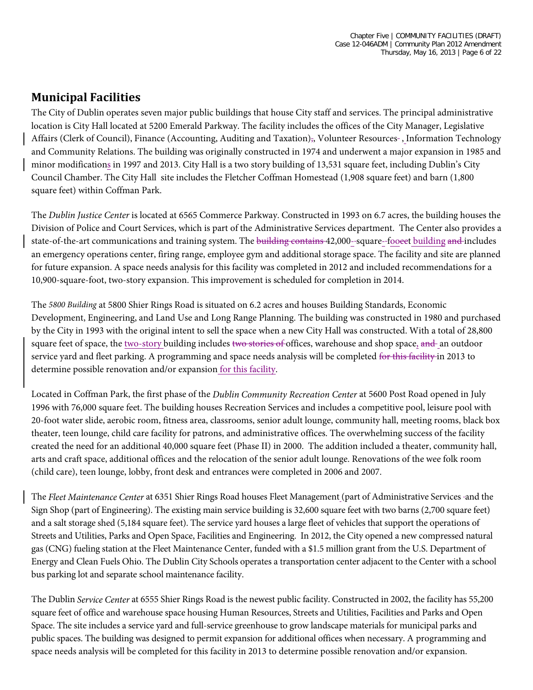## **Municipal Facilities**

The City of Dublin operates seven major public buildings that house City staff and services. The principal administrative location is City Hall located at 5200 Emerald Parkway. The facility includes the offices of the City Manager, Legislative Affairs (Clerk of Council), Finance (Accounting, Auditing and Taxation),, Volunteer Resources-, Information Technology and Community Relations. The building was originally constructed in 1974 and underwent a major expansion in 1985 and minor modifications in 1997 and 2013. City Hall is a two story building of 13,531 square feet, including Dublin's City Council Chamber. The City Hall site includes the Fletcher Coffman Homestead (1,908 square feet) and barn (1,800 square feet) within Coffman Park.

The *Dublin Justice Center* is located at 6565 Commerce Parkway. Constructed in 1993 on 6.7 acres, the building houses the Division of Police and Court Services, which is part of the Administrative Services department. The Center also provides a state-of-the-art communications and training system. The building contains 42,000-square-fooeet building and includes an emergency operations center, firing range, employee gym and additional storage space. The facility and site are planned for future expansion. A space needs analysis for this facility was completed in 2012 and included recommendations for a 10,900-square-foot, two-story expansion. This improvement is scheduled for completion in 2014.

The *5800 Building* at 5800 Shier Rings Road is situated on 6.2 acres and houses Building Standards, Economic Development, Engineering, and Land Use and Long Range Planning. The building was constructed in 1980 and purchased by the City in 1993 with the original intent to sell the space when a new City Hall was constructed. With a total of 28,800 square feet of space, the two-story building includes two stories of offices, warehouse and shop space, and an outdoor service yard and fleet parking. A programming and space needs analysis will be completed for this facility in 2013 to determine possible renovation and/or expansion for this facility.

Located in Coffman Park, the first phase of the *Dublin Community Recreation Center* at 5600 Post Road opened in July 1996 with 76,000 square feet. The building houses Recreation Services and includes a competitive pool, leisure pool with 20-foot water slide, aerobic room, fitness area, classrooms, senior adult lounge, community hall, meeting rooms, black box theater, teen lounge, child care facility for patrons, and administrative offices. The overwhelming success of the facility created the need for an additional 40,000 square feet (Phase II) in 2000. The addition included a theater, community hall, arts and craft space, additional offices and the relocation of the senior adult lounge. Renovations of the wee folk room (child care), teen lounge, lobby, front desk and entrances were completed in 2006 and 2007.

The *Fleet Maintenance Center* at 6351 Shier Rings Road houses Fleet Management (part of Administrative Services and the Sign Shop (part of Engineering). The existing main service building is 32,600 square feet with two barns (2,700 square feet) and a salt storage shed (5,184 square feet). The service yard houses a large fleet of vehicles that support the operations of Streets and Utilities, Parks and Open Space, Facilities and Engineering. In 2012, the City opened a new compressed natural gas (CNG) fueling station at the Fleet Maintenance Center, funded with a \$1.5 million grant from the U.S. Department of Energy and Clean Fuels Ohio. The Dublin City Schools operates a transportation center adjacent to the Center with a school bus parking lot and separate school maintenance facility.

The Dublin *Service Center* at 6555 Shier Rings Road is the newest public facility. Constructed in 2002, the facility has 55,200 square feet of office and warehouse space housing Human Resources, Streets and Utilities, Facilities and Parks and Open Space. The site includes a service yard and full-service greenhouse to grow landscape materials for municipal parks and public spaces. The building was designed to permit expansion for additional offices when necessary. A programming and space needs analysis will be completed for this facility in 2013 to determine possible renovation and/or expansion.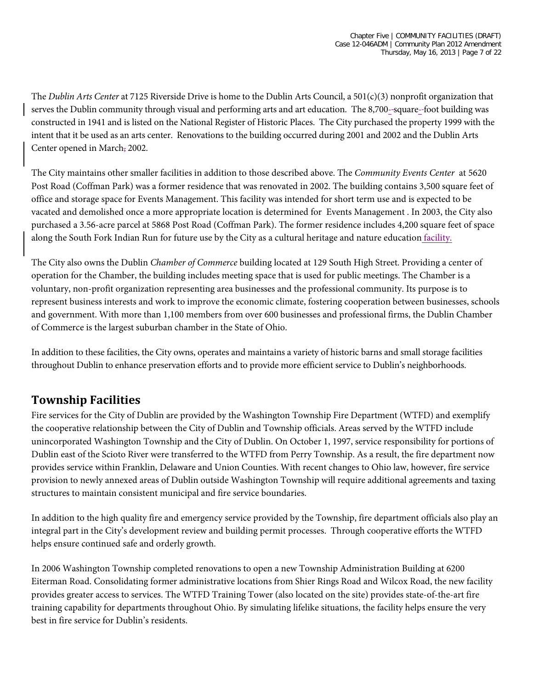The *Dublin Arts Center* at 7125 Riverside Drive is home to the Dublin Arts Council, a 501(c)(3) nonprofit organization that serves the Dublin community through visual and performing arts and art education. The 8,700--square-foot building was constructed in 1941 and is listed on the National Register of Historic Places. The City purchased the property 1999 with the intent that it be used as an arts center. Renovations to the building occurred during 2001 and 2002 and the Dublin Arts Center opened in March, 2002.

The City maintains other smaller facilities in addition to those described above. The *Community Events Center* at 5620 Post Road (Coffman Park) was a former residence that was renovated in 2002. The building contains 3,500 square feet of office and storage space for Events Management. This facility was intended for short term use and is expected to be vacated and demolished once a more appropriate location is determined for Events Management . In 2003, the City also purchased a 3.56-acre parcel at 5868 Post Road (Coffman Park). The former residence includes 4,200 square feet of space along the South Fork Indian Run for future use by the City as a cultural heritage and nature education facility.

The City also owns the Dublin *Chamber of Commerce* building located at 129 South High Street. Providing a center of operation for the Chamber, the building includes meeting space that is used for public meetings. The Chamber is a voluntary, non-profit organization representing area businesses and the professional community. Its purpose is to represent business interests and work to improve the economic climate, fostering cooperation between businesses, schools and government. With more than 1,100 members from over 600 businesses and professional firms, the Dublin Chamber of Commerce is the largest suburban chamber in the State of Ohio.

In addition to these facilities, the City owns, operates and maintains a variety of historic barns and small storage facilities throughout Dublin to enhance preservation efforts and to provide more efficient service to Dublin's neighborhoods.

#### **Township Facilities**

Fire services for the City of Dublin are provided by the Washington Township Fire Department (WTFD) and exemplify the cooperative relationship between the City of Dublin and Township officials. Areas served by the WTFD include unincorporated Washington Township and the City of Dublin. On October 1, 1997, service responsibility for portions of Dublin east of the Scioto River were transferred to the WTFD from Perry Township. As a result, the fire department now provides service within Franklin, Delaware and Union Counties. With recent changes to Ohio law, however, fire service provision to newly annexed areas of Dublin outside Washington Township will require additional agreements and taxing structures to maintain consistent municipal and fire service boundaries.

In addition to the high quality fire and emergency service provided by the Township, fire department officials also play an integral part in the City's development review and building permit processes. Through cooperative efforts the WTFD helps ensure continued safe and orderly growth.

In 2006 Washington Township completed renovations to open a new Township Administration Building at 6200 Eiterman Road. Consolidating former administrative locations from Shier Rings Road and Wilcox Road, the new facility provides greater access to services. The WTFD Training Tower (also located on the site) provides state-of-the-art fire training capability for departments throughout Ohio. By simulating lifelike situations, the facility helps ensure the very best in fire service for Dublin's residents.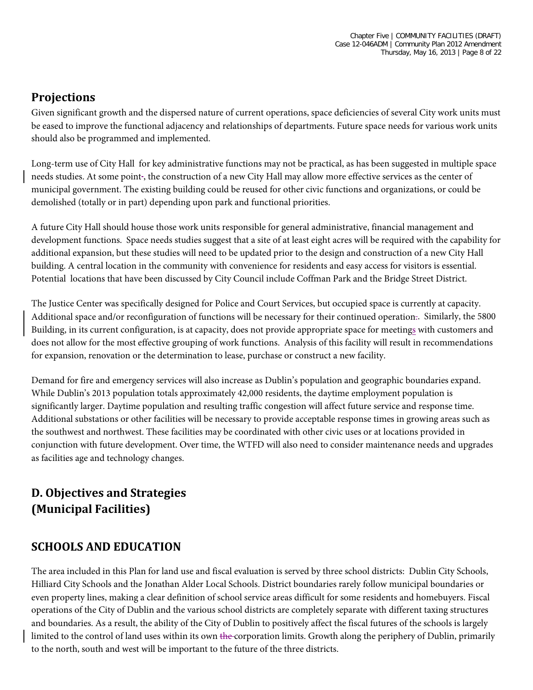# **Projections**

Given significant growth and the dispersed nature of current operations, space deficiencies of several City work units must be eased to improve the functional adjacency and relationships of departments. Future space needs for various work units should also be programmed and implemented.

Long-term use of City Hall for key administrative functions may not be practical, as has been suggested in multiple space needs studies. At some point , the construction of a new City Hall may allow more effective services as the center of municipal government. The existing building could be reused for other civic functions and organizations, or could be demolished (totally or in part) depending upon park and functional priorities.

A future City Hall should house those work units responsible for general administrative, financial management and development functions. Space needs studies suggest that a site of at least eight acres will be required with the capability for additional expansion, but these studies will need to be updated prior to the design and construction of a new City Hall building. A central location in the community with convenience for residents and easy access for visitors is essential. Potential locations that have been discussed by City Council include Coffman Park and the Bridge Street District.

The Justice Center was specifically designed for Police and Court Services, but occupied space is currently at capacity. Additional space and/or reconfiguration of functions will be necessary for their continued operation.. Similarly, the 5800 Building, in its current configuration, is at capacity, does not provide appropriate space for meetings with customers and does not allow for the most effective grouping of work functions. Analysis of this facility will result in recommendations for expansion, renovation or the determination to lease, purchase or construct a new facility.

Demand for fire and emergency services will also increase as Dublin's population and geographic boundaries expand. While Dublin's 2013 population totals approximately 42,000 residents, the daytime employment population is significantly larger. Daytime population and resulting traffic congestion will affect future service and response time. Additional substations or other facilities will be necessary to provide acceptable response times in growing areas such as the southwest and northwest. These facilities may be coordinated with other civic uses or at locations provided in conjunction with future development. Over time, the WTFD will also need to consider maintenance needs and upgrades as facilities age and technology changes.

# **D. Objectives and Strategies (Municipal Facilities)**

# **SCHOOLS AND EDUCATION**

The area included in this Plan for land use and fiscal evaluation is served by three school districts: Dublin City Schools, Hilliard City Schools and the Jonathan Alder Local Schools. District boundaries rarely follow municipal boundaries or even property lines, making a clear definition of school service areas difficult for some residents and homebuyers. Fiscal operations of the City of Dublin and the various school districts are completely separate with different taxing structures and boundaries. As a result, the ability of the City of Dublin to positively affect the fiscal futures of the schools is largely limited to the control of land uses within its own the corporation limits. Growth along the periphery of Dublin, primarily to the north, south and west will be important to the future of the three districts.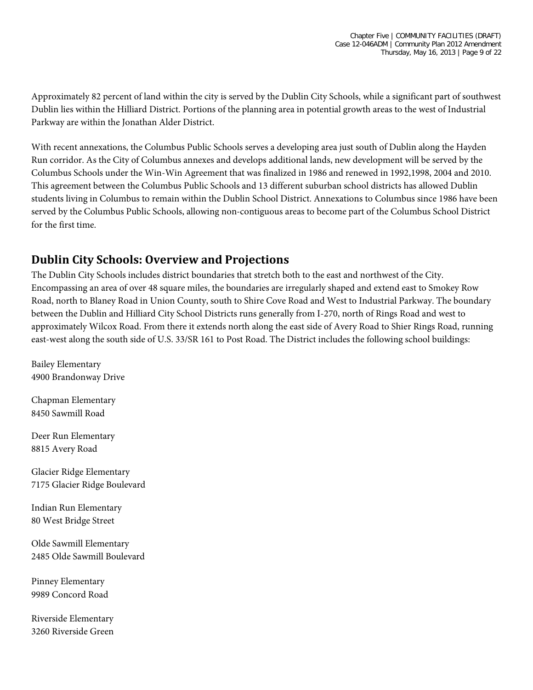Approximately 82 percent of land within the city is served by the Dublin City Schools, while a significant part of southwest Dublin lies within the Hilliard District. Portions of the planning area in potential growth areas to the west of Industrial Parkway are within the Jonathan Alder District.

With recent annexations, the Columbus Public Schools serves a developing area just south of Dublin along the Hayden Run corridor. As the City of Columbus annexes and develops additional lands, new development will be served by the Columbus Schools under the Win-Win Agreement that was finalized in 1986 and renewed in 1992,1998, 2004 and 2010. This agreement between the Columbus Public Schools and 13 different suburban school districts has allowed Dublin students living in Columbus to remain within the Dublin School District. Annexations to Columbus since 1986 have been served by the Columbus Public Schools, allowing non-contiguous areas to become part of the Columbus School District for the first time.

#### **Dublin City Schools: Overview and Projections**

The Dublin City Schools includes district boundaries that stretch both to the east and northwest of the City. Encompassing an area of over 48 square miles, the boundaries are irregularly shaped and extend east to Smokey Row Road, north to Blaney Road in Union County, south to Shire Cove Road and West to Industrial Parkway. The boundary between the Dublin and Hilliard City School Districts runs generally from I-270, north of Rings Road and west to approximately Wilcox Road. From there it extends north along the east side of Avery Road to Shier Rings Road, running east-west along the south side of U.S. 33/SR 161 to Post Road. The District includes the following school buildings:

Bailey Elementary 4900 Brandonway Drive

Chapman Elementary 8450 Sawmill Road

Deer Run Elementary 8815 Avery Road

Glacier Ridge Elementary 7175 Glacier Ridge Boulevard

Indian Run Elementary 80 West Bridge Street

Olde Sawmill Elementary 2485 Olde Sawmill Boulevard

Pinney Elementary 9989 Concord Road

Riverside Elementary 3260 Riverside Green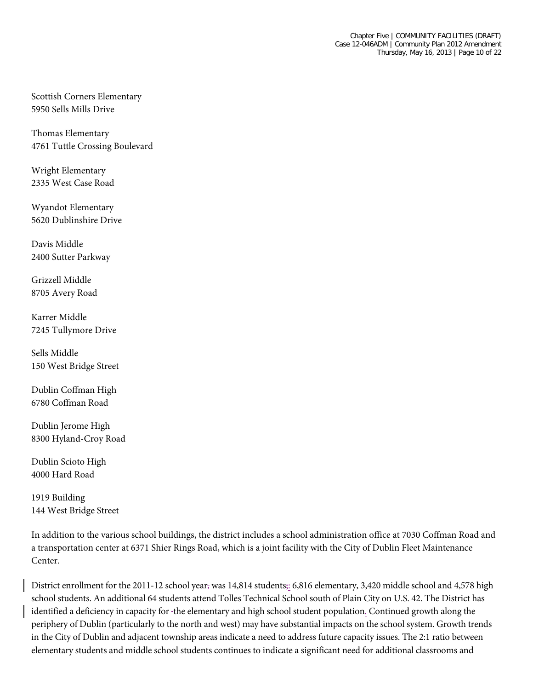Scottish Corners Elementary 5950 Sells Mills Drive

Thomas Elementary 4761 Tuttle Crossing Boulevard

Wright Elementary 2335 West Case Road

Wyandot Elementary 5620 Dublinshire Drive

Davis Middle 2400 Sutter Parkway

Grizzell Middle 8705 Avery Road

Karrer Middle 7245 Tullymore Drive

Sells Middle 150 West Bridge Street

Dublin Coffman High 6780 Coffman Road

Dublin Jerome High 8300 Hyland-Croy Road

Dublin Scioto High 4000 Hard Road

1919 Building 144 West Bridge Street

In addition to the various school buildings, the district includes a school administration office at 7030 Coffman Road and a transportation center at 6371 Shier Rings Road, which is a joint facility with the City of Dublin Fleet Maintenance Center.

District enrollment for the 2011-12 school year, was 14,814 students;: 6,816 elementary, 3,420 middle school and 4,578 high school students. An additional 64 students attend Tolles Technical School south of Plain City on U.S. 42. The District has identified a deficiency in capacity for the elementary and high school student population. Continued growth along the periphery of Dublin (particularly to the north and west) may have substantial impacts on the school system. Growth trends in the City of Dublin and adjacent township areas indicate a need to address future capacity issues. The 2:1 ratio between elementary students and middle school students continues to indicate a significant need for additional classrooms and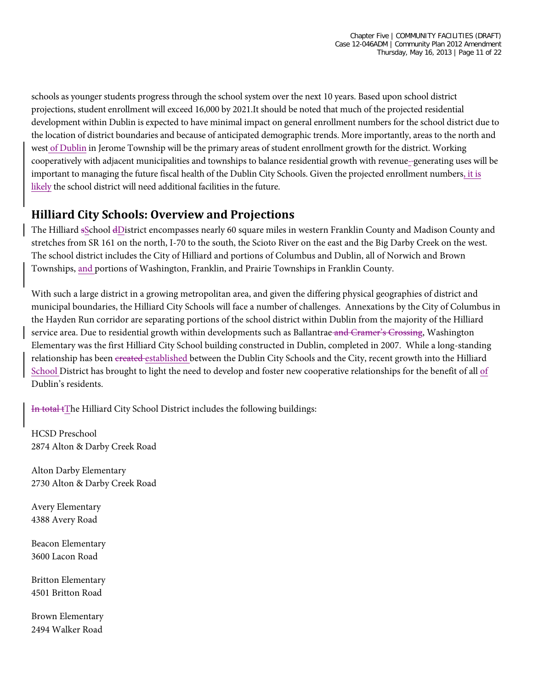schools as younger students progress through the school system over the next 10 years. Based upon school district projections, student enrollment will exceed 16,000 by 2021.It should be noted that much of the projected residential development within Dublin is expected to have minimal impact on general enrollment numbers for the school district due to the location of district boundaries and because of anticipated demographic trends. More importantly, areas to the north and west of Dublin in Jerome Township will be the primary areas of student enrollment growth for the district. Working cooperatively with adjacent municipalities and townships to balance residential growth with revenue- generating uses will be important to managing the future fiscal health of the Dublin City Schools. Given the projected enrollment numbers, it is likely the school district will need additional facilities in the future.

#### **Hilliard City Schools: Overview and Projections**

The Hilliard sSchool dDistrict encompasses nearly 60 square miles in western Franklin County and Madison County and stretches from SR 161 on the north, I-70 to the south, the Scioto River on the east and the Big Darby Creek on the west. The school district includes the City of Hilliard and portions of Columbus and Dublin, all of Norwich and Brown Townships, and portions of Washington, Franklin, and Prairie Townships in Franklin County.

With such a large district in a growing metropolitan area, and given the differing physical geographies of district and municipal boundaries, the Hilliard City Schools will face a number of challenges. Annexations by the City of Columbus in the Hayden Run corridor are separating portions of the school district within Dublin from the majority of the Hilliard service area. Due to residential growth within developments such as Ballantrae and Cramer's Crossing, Washington Elementary was the first Hilliard City School building constructed in Dublin, completed in 2007. While a long-standing relationship has been created established between the Dublin City Schools and the City, recent growth into the Hilliard School District has brought to light the need to develop and foster new cooperative relationships for the benefit of all of Dublin's residents.

In total tThe Hilliard City School District includes the following buildings:

HCSD Preschool 2874 Alton & Darby Creek Road

Alton Darby Elementary 2730 Alton & Darby Creek Road

Avery Elementary 4388 Avery Road

Beacon Elementary 3600 Lacon Road

Britton Elementary 4501 Britton Road

Brown Elementary 2494 Walker Road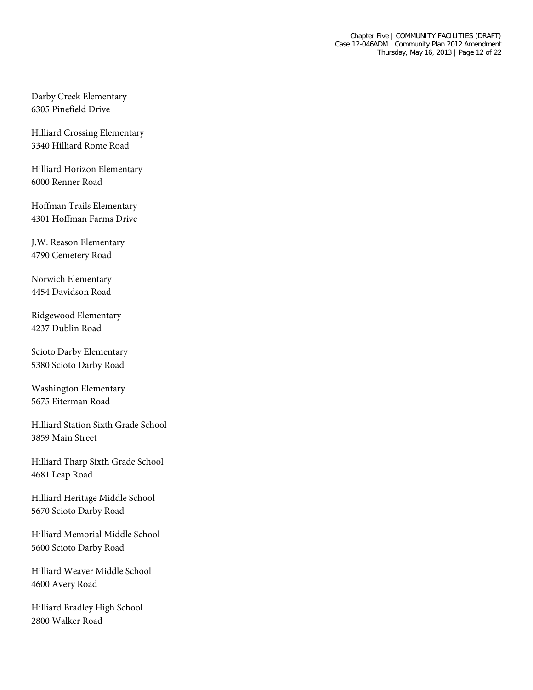Darby Creek Elementary 6305 Pinefield Drive

Hilliard Crossing Elementary 3340 Hilliard Rome Road

Hilliard Horizon Elementary 6000 Renner Road

Hoffman Trails Elementary 4301 Hoffman Farms Drive

J.W. Reason Elementary 4790 Cemetery Road

Norwich Elementary 4454 Davidson Road

Ridgewood Elementary 4237 Dublin Road

Scioto Darby Elementary 5380 Scioto Darby Road

Washington Elementary 5675 Eiterman Road

Hilliard Station Sixth Grade School 3859 Main Street

Hilliard Tharp Sixth Grade School 4681 Leap Road

Hilliard Heritage Middle School 5670 Scioto Darby Road

Hilliard Memorial Middle School 5600 Scioto Darby Road

Hilliard Weaver Middle School 4600 Avery Road

Hilliard Bradley High School 2800 Walker Road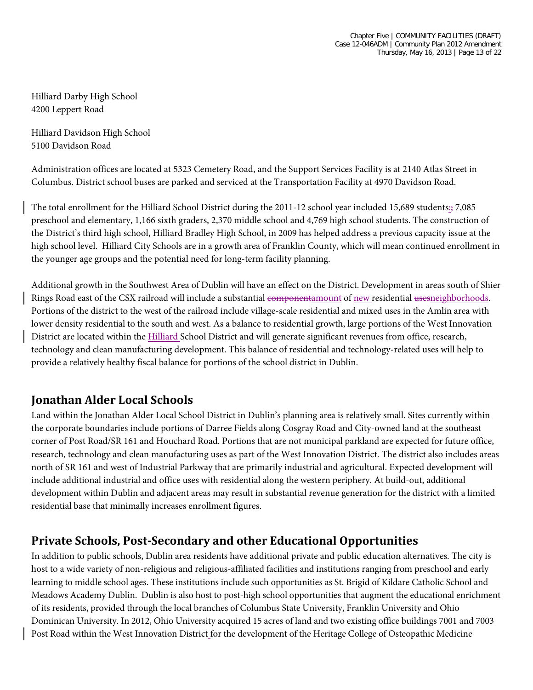Hilliard Darby High School 4200 Leppert Road

Hilliard Davidson High School 5100 Davidson Road

Administration offices are located at 5323 Cemetery Road, and the Support Services Facility is at 2140 Atlas Street in Columbus. District school buses are parked and serviced at the Transportation Facility at 4970 Davidson Road.

The total enrollment for the Hilliard School District during the 2011-12 school year included 15,689 students:; 7,085 preschool and elementary, 1,166 sixth graders, 2,370 middle school and 4,769 high school students. The construction of the District's third high school, Hilliard Bradley High School, in 2009 has helped address a previous capacity issue at the high school level. Hilliard City Schools are in a growth area of Franklin County, which will mean continued enrollment in the younger age groups and the potential need for long-term facility planning.

Additional growth in the Southwest Area of Dublin will have an effect on the District. Development in areas south of Shier Rings Road east of the CSX railroad will include a substantial componentamount of new residential usesneighborhoods. Portions of the district to the west of the railroad include village-scale residential and mixed uses in the Amlin area with lower density residential to the south and west. As a balance to residential growth, large portions of the West Innovation District are located within the Hilliard School District and will generate significant revenues from office, research, technology and clean manufacturing development. This balance of residential and technology-related uses will help to provide a relatively healthy fiscal balance for portions of the school district in Dublin.

#### **Jonathan Alder Local Schools**

Land within the Jonathan Alder Local School District in Dublin's planning area is relatively small. Sites currently within the corporate boundaries include portions of Darree Fields along Cosgray Road and City-owned land at the southeast corner of Post Road/SR 161 and Houchard Road. Portions that are not municipal parkland are expected for future office, research, technology and clean manufacturing uses as part of the West Innovation District. The district also includes areas north of SR 161 and west of Industrial Parkway that are primarily industrial and agricultural. Expected development will include additional industrial and office uses with residential along the western periphery. At build-out, additional development within Dublin and adjacent areas may result in substantial revenue generation for the district with a limited residential base that minimally increases enrollment figures.

#### **Private Schools, Post-Secondary and other Educational Opportunities**

In addition to public schools, Dublin area residents have additional private and public education alternatives. The city is host to a wide variety of non-religious and religious-affiliated facilities and institutions ranging from preschool and early learning to middle school ages. These institutions include such opportunities as St. Brigid of Kildare Catholic School and Meadows Academy Dublin. Dublin is also host to post-high school opportunities that augment the educational enrichment of its residents, provided through the local branches of Columbus State University, Franklin University and Ohio Dominican University. In 2012, Ohio University acquired 15 acres of land and two existing office buildings 7001 and 7003 Post Road within the West Innovation District for the development of the Heritage College of Osteopathic Medicine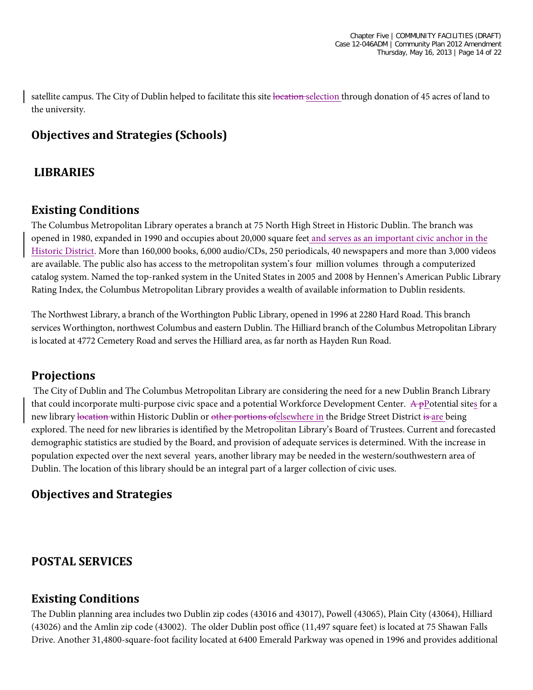satellite campus. The City of Dublin helped to facilitate this site location selection through donation of 45 acres of land to the university.

# **Objectives and Strategies (Schools)**

## **LIBRARIES**

## **Existing Conditions**

The Columbus Metropolitan Library operates a branch at 75 North High Street in Historic Dublin. The branch was opened in 1980, expanded in 1990 and occupies about 20,000 square feet and serves as an important civic anchor in the Historic District. More than 160,000 books, 6,000 audio/CDs, 250 periodicals, 40 newspapers and more than 3,000 videos are available. The public also has access to the metropolitan system's four million volumes through a computerized catalog system. Named the top-ranked system in the United States in 2005 and 2008 by Hennen's American Public Library Rating Index, the Columbus Metropolitan Library provides a wealth of available information to Dublin residents.

The Northwest Library, a branch of the Worthington Public Library, opened in 1996 at 2280 Hard Road. This branch services Worthington, northwest Columbus and eastern Dublin. The Hilliard branch of the Columbus Metropolitan Library is located at 4772 Cemetery Road and serves the Hilliard area, as far north as Hayden Run Road.

# **Projections**

The City of Dublin and The Columbus Metropolitan Library are considering the need for a new Dublin Branch Library that could incorporate multi-purpose civic space and a potential Workforce Development Center.  $A$ -pPotential sites for a new library location within Historic Dublin or other portions of elsewhere in the Bridge Street District is are being explored. The need for new libraries is identified by the Metropolitan Library's Board of Trustees. Current and forecasted demographic statistics are studied by the Board, and provision of adequate services is determined. With the increase in population expected over the next several years, another library may be needed in the western/southwestern area of Dublin. The location of this library should be an integral part of a larger collection of civic uses.

# **Objectives and Strategies**

# **POSTAL SERVICES**

#### **Existing Conditions**

The Dublin planning area includes two Dublin zip codes (43016 and 43017), Powell (43065), Plain City (43064), Hilliard (43026) and the Amlin zip code (43002). The older Dublin post office (11,497 square feet) is located at 75 Shawan Falls Drive. Another 31,4800-square-foot facility located at 6400 Emerald Parkway was opened in 1996 and provides additional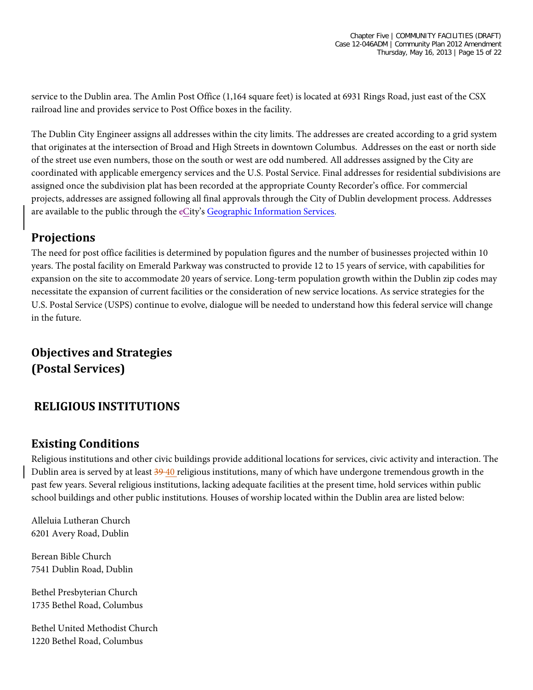service to the Dublin area. The Amlin Post Office (1,164 square feet) is located at 6931 Rings Road, just east of the CSX railroad line and provides service to Post Office boxes in the facility.

The Dublin City Engineer assigns all addresses within the city limits. The addresses are created according to a grid system that originates at the intersection of Broad and High Streets in downtown Columbus. Addresses on the east or north side of the street use even numbers, those on the south or west are odd numbered. All addresses assigned by the City are coordinated with applicable emergency services and the U.S. Postal Service. Final addresses for residential subdivisions are assigned once the subdivision plat has been recorded at the appropriate County Recorder's office. For commercial projects, addresses are assigned following all final approvals through the City of Dublin development process. Addresses are available to the public through the eCity's [Geographic Information Services.](http://dublinohiousa.gov/gis-maps/)

## **Projections**

The need for post office facilities is determined by population figures and the number of businesses projected within 10 years. The postal facility on Emerald Parkway was constructed to provide 12 to 15 years of service, with capabilities for expansion on the site to accommodate 20 years of service. Long-term population growth within the Dublin zip codes may necessitate the expansion of current facilities or the consideration of new service locations. As service strategies for the U.S. Postal Service (USPS) continue to evolve, dialogue will be needed to understand how this federal service will change in the future.

# **Objectives and Strategies (Postal Services)**

# **RELIGIOUS INSTITUTIONS**

#### **Existing Conditions**

Religious institutions and other civic buildings provide additional locations for services, civic activity and interaction. The Dublin area is served by at least 39 40 religious institutions, many of which have undergone tremendous growth in the past few years. Several religious institutions, lacking adequate facilities at the present time, hold services within public school buildings and other public institutions. Houses of worship located within the Dublin area are listed below:

Alleluia Lutheran Church 6201 Avery Road, Dublin

Berean Bible Church 7541 Dublin Road, Dublin

Bethel Presbyterian Church 1735 Bethel Road, Columbus

Bethel United Methodist Church 1220 Bethel Road, Columbus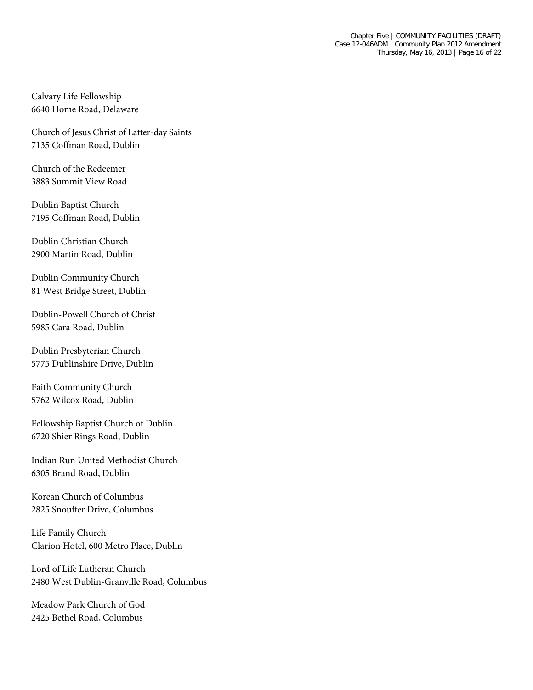Calvary Life Fellowship 6640 Home Road, Delaware

Church of Jesus Christ of Latter-day Saints 7135 Coffman Road, Dublin

Church of the Redeemer 3883 Summit View Road

Dublin Baptist Church 7195 Coffman Road, Dublin

Dublin Christian Church 2900 Martin Road, Dublin

Dublin Community Church 81 West Bridge Street, Dublin

Dublin-Powell Church of Christ 5985 Cara Road, Dublin

Dublin Presbyterian Church 5775 Dublinshire Drive, Dublin

Faith Community Church 5762 Wilcox Road, Dublin

Fellowship Baptist Church of Dublin 6720 Shier Rings Road, Dublin

Indian Run United Methodist Church 6305 Brand Road, Dublin

Korean Church of Columbus 2825 Snouffer Drive, Columbus

Life Family Church Clarion Hotel, 600 Metro Place, Dublin

Lord of Life Lutheran Church 2480 West Dublin-Granville Road, Columbus

Meadow Park Church of God 2425 Bethel Road, Columbus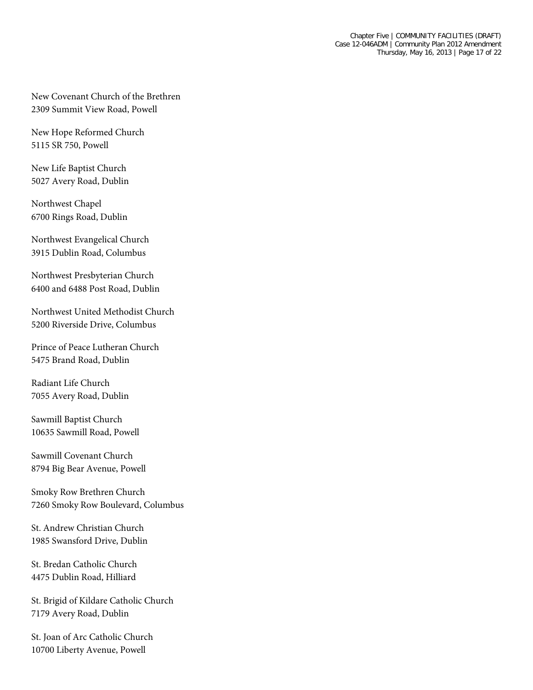New Covenant Church of the Brethren 2309 Summit View Road, Powell

New Hope Reformed Church 5115 SR 750, Powell

New Life Baptist Church 5027 Avery Road, Dublin

Northwest Chapel 6700 Rings Road, Dublin

Northwest Evangelical Church 3915 Dublin Road, Columbus

Northwest Presbyterian Church 6400 and 6488 Post Road, Dublin

Northwest United Methodist Church 5200 Riverside Drive, Columbus

Prince of Peace Lutheran Church 5475 Brand Road, Dublin

Radiant Life Church 7055 Avery Road, Dublin

Sawmill Baptist Church 10635 Sawmill Road, Powell

Sawmill Covenant Church 8794 Big Bear Avenue, Powell

Smoky Row Brethren Church 7260 Smoky Row Boulevard, Columbus

St. Andrew Christian Church 1985 Swansford Drive, Dublin

St. Bredan Catholic Church 4475 Dublin Road, Hilliard

St. Brigid of Kildare Catholic Church 7179 Avery Road, Dublin

St. Joan of Arc Catholic Church 10700 Liberty Avenue, Powell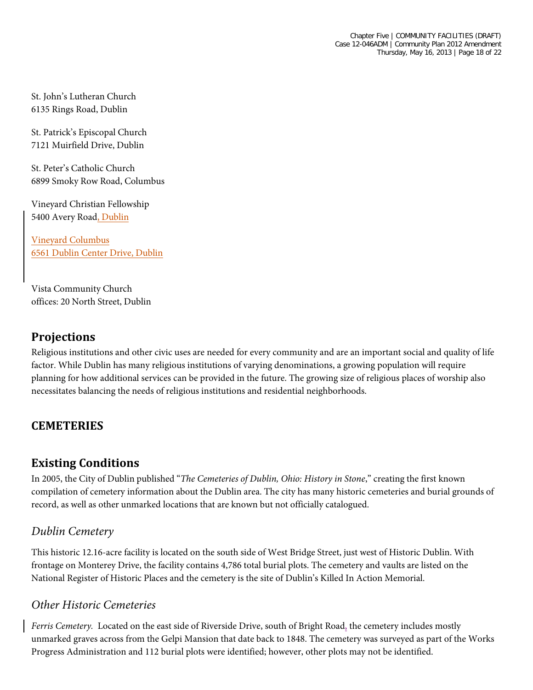St. John's Lutheran Church 6135 Rings Road, Dublin

St. Patrick's Episcopal Church 7121 Muirfield Drive, Dublin

St. Peter's Catholic Church 6899 Smoky Row Road, Columbus

Vineyard Christian Fellowship 5400 Avery Road, Dublin

Vineyard Columbus 6561 Dublin Center Drive, Dublin

Vista Community Church offices: 20 North Street, Dublin

## **Projections**

Religious institutions and other civic uses are needed for every community and are an important social and quality of life factor. While Dublin has many religious institutions of varying denominations, a growing population will require planning for how additional services can be provided in the future. The growing size of religious places of worship also necessitates balancing the needs of religious institutions and residential neighborhoods.

# **CEMETERIES**

#### **Existing Conditions**

In 2005, the City of Dublin published "*The Cemeteries of Dublin, Ohio: History in Stone*," creating the first known compilation of cemetery information about the Dublin area. The city has many historic cemeteries and burial grounds of record, as well as other unmarked locations that are known but not officially catalogued.

#### *Dublin Cemetery*

This historic 12.16-acre facility is located on the south side of West Bridge Street, just west of Historic Dublin. With frontage on Monterey Drive, the facility contains 4,786 total burial plots. The cemetery and vaults are listed on the National Register of Historic Places and the cemetery is the site of Dublin's Killed In Action Memorial.

#### *Other Historic Cemeteries*

*Ferris Cemetery.* Located on the east side of Riverside Drive, south of Bright Road, the cemetery includes mostly unmarked graves across from the Gelpi Mansion that date back to 1848. The cemetery was surveyed as part of the Works Progress Administration and 112 burial plots were identified; however, other plots may not be identified.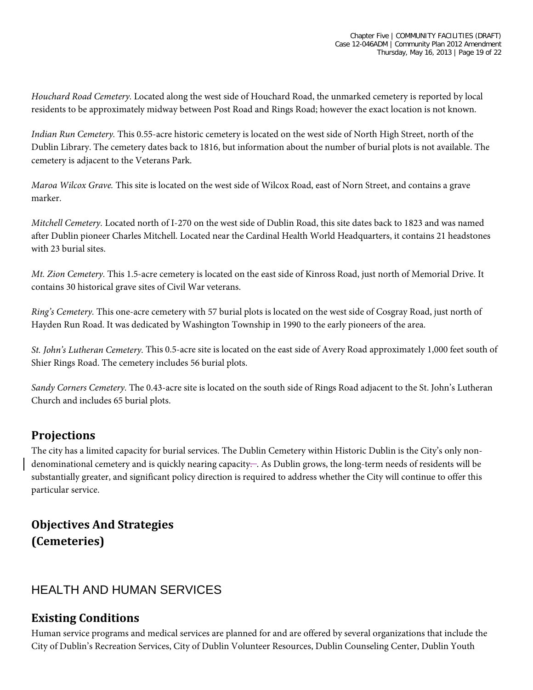*Houchard Road Cemetery.* Located along the west side of Houchard Road, the unmarked cemetery is reported by local residents to be approximately midway between Post Road and Rings Road; however the exact location is not known.

*Indian Run Cemetery.* This 0.55-acre historic cemetery is located on the west side of North High Street, north of the Dublin Library. The cemetery dates back to 1816, but information about the number of burial plots is not available. The cemetery is adjacent to the Veterans Park.

*Maroa Wilcox Grave.* This site is located on the west side of Wilcox Road, east of Norn Street, and contains a grave marker.

*Mitchell Cemetery.* Located north of I-270 on the west side of Dublin Road, this site dates back to 1823 and was named after Dublin pioneer Charles Mitchell. Located near the Cardinal Health World Headquarters, it contains 21 headstones with 23 burial sites.

*Mt. Zion Cemetery.* This 1.5-acre cemetery is located on the east side of Kinross Road, just north of Memorial Drive. It contains 30 historical grave sites of Civil War veterans.

*Ring's Cemetery.* This one-acre cemetery with 57 burial plots is located on the west side of Cosgray Road, just north of Hayden Run Road. It was dedicated by Washington Township in 1990 to the early pioneers of the area.

*St. John's Lutheran Cemetery.* This 0.5-acre site is located on the east side of Avery Road approximately 1,000 feet south of Shier Rings Road. The cemetery includes 56 burial plots.

*Sandy Corners Cemetery.* The 0.43-acre site is located on the south side of Rings Road adjacent to the St. John's Lutheran Church and includes 65 burial plots.

#### **Projections**

The city has a limited capacity for burial services. The Dublin Cemetery within Historic Dublin is the City's only nondenominational cemetery and is quickly nearing capacity—. As Dublin grows, the long-term needs of residents will be substantially greater, and significant policy direction is required to address whether the City will continue to offer this particular service.

# **Objectives And Strategies (Cemeteries)**

#### HEALTH AND HUMAN SERVICES

#### **Existing Conditions**

Human service programs and medical services are planned for and are offered by several organizations that include the City of Dublin's Recreation Services, City of Dublin Volunteer Resources, Dublin Counseling Center, Dublin Youth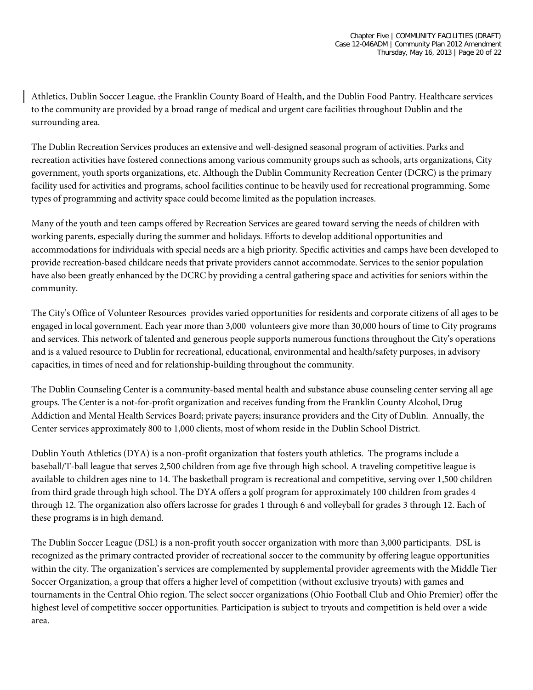Athletics, Dublin Soccer League, ,the Franklin County Board of Health, and the Dublin Food Pantry. Healthcare services to the community are provided by a broad range of medical and urgent care facilities throughout Dublin and the surrounding area.

The Dublin Recreation Services produces an extensive and well-designed seasonal program of activities. Parks and recreation activities have fostered connections among various community groups such as schools, arts organizations, City government, youth sports organizations, etc. Although the Dublin Community Recreation Center (DCRC) is the primary facility used for activities and programs, school facilities continue to be heavily used for recreational programming. Some types of programming and activity space could become limited as the population increases.

Many of the youth and teen camps offered by Recreation Services are geared toward serving the needs of children with working parents, especially during the summer and holidays. Efforts to develop additional opportunities and accommodations for individuals with special needs are a high priority. Specific activities and camps have been developed to provide recreation-based childcare needs that private providers cannot accommodate. Services to the senior population have also been greatly enhanced by the DCRC by providing a central gathering space and activities for seniors within the community.

The City's Office of Volunteer Resources provides varied opportunities for residents and corporate citizens of all ages to be engaged in local government. Each year more than 3,000 volunteers give more than 30,000 hours of time to City programs and services. This network of talented and generous people supports numerous functions throughout the City's operations and is a valued resource to Dublin for recreational, educational, environmental and health/safety purposes, in advisory capacities, in times of need and for relationship-building throughout the community.

The Dublin Counseling Center is a community-based mental health and substance abuse counseling center serving all age groups. The Center is a not-for-profit organization and receives funding from the Franklin County Alcohol, Drug Addiction and Mental Health Services Board; private payers; insurance providers and the City of Dublin. Annually, the Center services approximately 800 to 1,000 clients, most of whom reside in the Dublin School District.

Dublin Youth Athletics (DYA) is a non-profit organization that fosters youth athletics. The programs include a baseball/T-ball league that serves 2,500 children from age five through high school. A traveling competitive league is available to children ages nine to 14. The basketball program is recreational and competitive, serving over 1,500 children from third grade through high school. The DYA offers a golf program for approximately 100 children from grades 4 through 12. The organization also offers lacrosse for grades 1 through 6 and volleyball for grades 3 through 12. Each of these programs is in high demand.

The Dublin Soccer League (DSL) is a non-profit youth soccer organization with more than 3,000 participants. DSL is recognized as the primary contracted provider of recreational soccer to the community by offering league opportunities within the city. The organization's services are complemented by supplemental provider agreements with the Middle Tier Soccer Organization, a group that offers a higher level of competition (without exclusive tryouts) with games and tournaments in the Central Ohio region. The select soccer organizations (Ohio Football Club and Ohio Premier) offer the highest level of competitive soccer opportunities. Participation is subject to tryouts and competition is held over a wide area.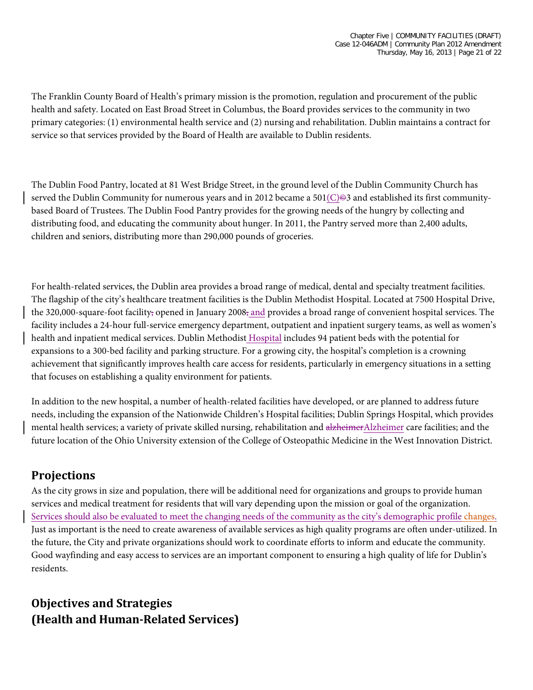The Franklin County Board of Health's primary mission is the promotion, regulation and procurement of the public health and safety. Located on East Broad Street in Columbus, the Board provides services to the community in two primary categories: (1) environmental health service and (2) nursing and rehabilitation. Dublin maintains a contract for service so that services provided by the Board of Health are available to Dublin residents.

The Dublin Food Pantry, located at 81 West Bridge Street, in the ground level of the Dublin Community Church has served the Dublin Community for numerous years and in 2012 became a 501(C) $\oplus$ 3 and established its first communitybased Board of Trustees. The Dublin Food Pantry provides for the growing needs of the hungry by collecting and distributing food, and educating the community about hunger. In 2011, the Pantry served more than 2,400 adults, children and seniors, distributing more than 290,000 pounds of groceries.

For health-related services, the Dublin area provides a broad range of medical, dental and specialty treatment facilities. The flagship of the city's healthcare treatment facilities is the Dublin Methodist Hospital. Located at 7500 Hospital Drive, the 320,000-square-foot facility, opened in January 2008, and provides a broad range of convenient hospital services. The facility includes a 24-hour full-service emergency department, outpatient and inpatient surgery teams, as well as women's health and inpatient medical services. Dublin Methodist Hospital includes 94 patient beds with the potential for expansions to a 300-bed facility and parking structure. For a growing city, the hospital's completion is a crowning achievement that significantly improves health care access for residents, particularly in emergency situations in a setting that focuses on establishing a quality environment for patients.

In addition to the new hospital, a number of health-related facilities have developed, or are planned to address future needs, including the expansion of the Nationwide Children's Hospital facilities; Dublin Springs Hospital, which provides mental health services; a variety of private skilled nursing, rehabilitation and alzheimerAlzheimer care facilities; and the future location of the Ohio University extension of the College of Osteopathic Medicine in the West Innovation District.

# **Projections**

As the city grows in size and population, there will be additional need for organizations and groups to provide human services and medical treatment for residents that will vary depending upon the mission or goal of the organization. Services should also be evaluated to meet the changing needs of the community as the city's demographic profile changes. Just as important is the need to create awareness of available services as high quality programs are often under-utilized. In the future, the City and private organizations should work to coordinate efforts to inform and educate the community. Good wayfinding and easy access to services are an important component to ensuring a high quality of life for Dublin's residents.

# **Objectives and Strategies (Health and Human-Related Services)**